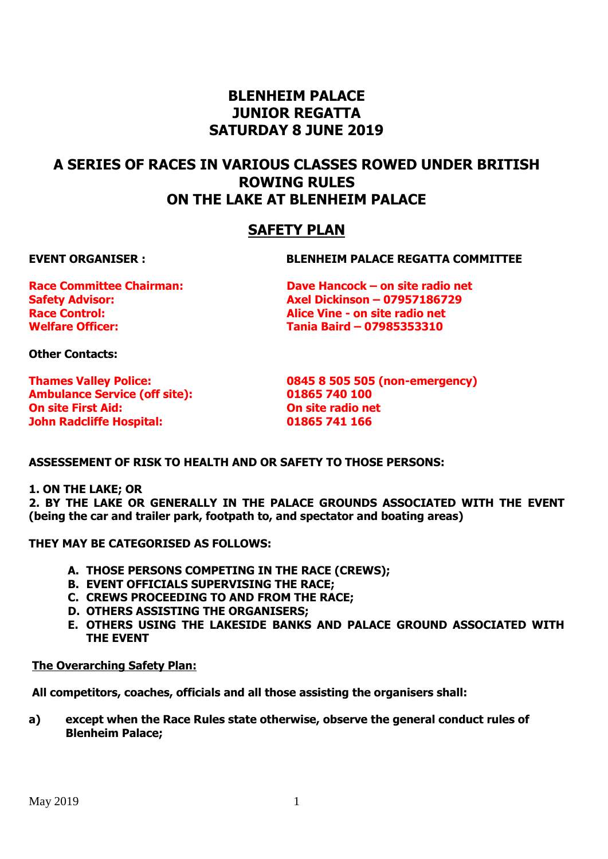# **BLENHEIM PALACE JUNIOR REGATTA SATURDAY 8 JUNE 2019**

# **A SERIES OF RACES IN VARIOUS CLASSES ROWED UNDER BRITISH ROWING RULES ON THE LAKE AT BLENHEIM PALACE**

## **SAFETY PLAN**

**EVENT ORGANISER : BLENHEIM PALACE REGATTA COMMITTEE**

**Race Committee Chairman: Dave Hancock – on site radio net Safety Advisor: Axel Dickinson – 07957186729 Race Control: Alice Vine - on site radio net Welfare Officer: Tania Baird – 07985353310**

**Other Contacts:**

**Ambulance Service (off site): 01865 740 100 On site First Aid: On site radio net John Radcliffe Hospital: 01865 741 166**

**Thames Valley Police: 0845 8 505 505 (non-emergency)**

**ASSESSEMENT OF RISK TO HEALTH AND OR SAFETY TO THOSE PERSONS:**

**1. ON THE LAKE; OR** 

**2. BY THE LAKE OR GENERALLY IN THE PALACE GROUNDS ASSOCIATED WITH THE EVENT (being the car and trailer park, footpath to, and spectator and boating areas)**

**THEY MAY BE CATEGORISED AS FOLLOWS:**

- **A. THOSE PERSONS COMPETING IN THE RACE (CREWS);**
- **B. EVENT OFFICIALS SUPERVISING THE RACE;**
- **C. CREWS PROCEEDING TO AND FROM THE RACE;**
- **D. OTHERS ASSISTING THE ORGANISERS;**
- **E. OTHERS USING THE LAKESIDE BANKS AND PALACE GROUND ASSOCIATED WITH THE EVENT**

### **The Overarching Safety Plan:**

**All competitors, coaches, officials and all those assisting the organisers shall:**

**a) except when the Race Rules state otherwise, observe the general conduct rules of Blenheim Palace;**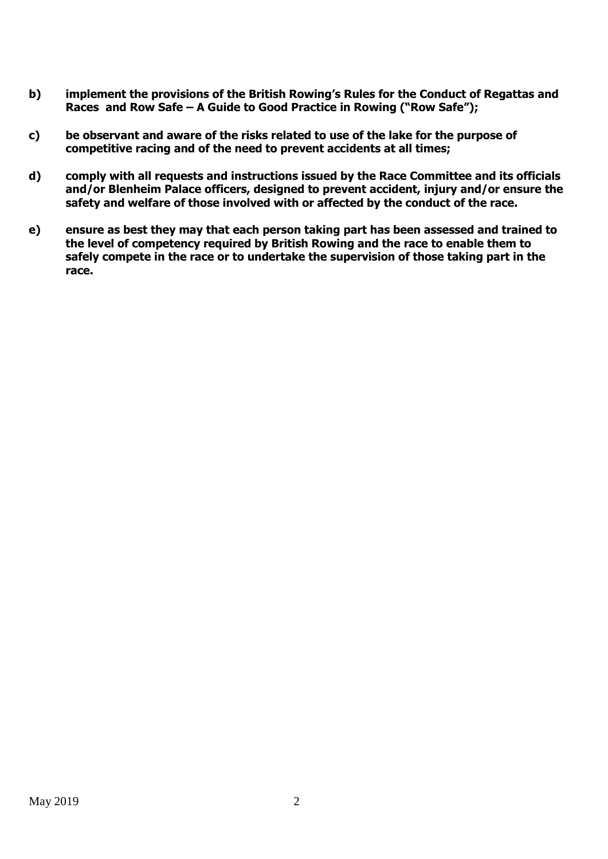- **b) implement the provisions of the British Rowing's Rules for the Conduct of Regattas and Races and Row Safe – A Guide to Good Practice in Rowing ("Row Safe");**
- **c) be observant and aware of the risks related to use of the lake for the purpose of competitive racing and of the need to prevent accidents at all times;**
- **d) comply with all requests and instructions issued by the Race Committee and its officials and/or Blenheim Palace officers, designed to prevent accident, injury and/or ensure the safety and welfare of those involved with or affected by the conduct of the race.**
- **e) ensure as best they may that each person taking part has been assessed and trained to the level of competency required by British Rowing and the race to enable them to safely compete in the race or to undertake the supervision of those taking part in the race.**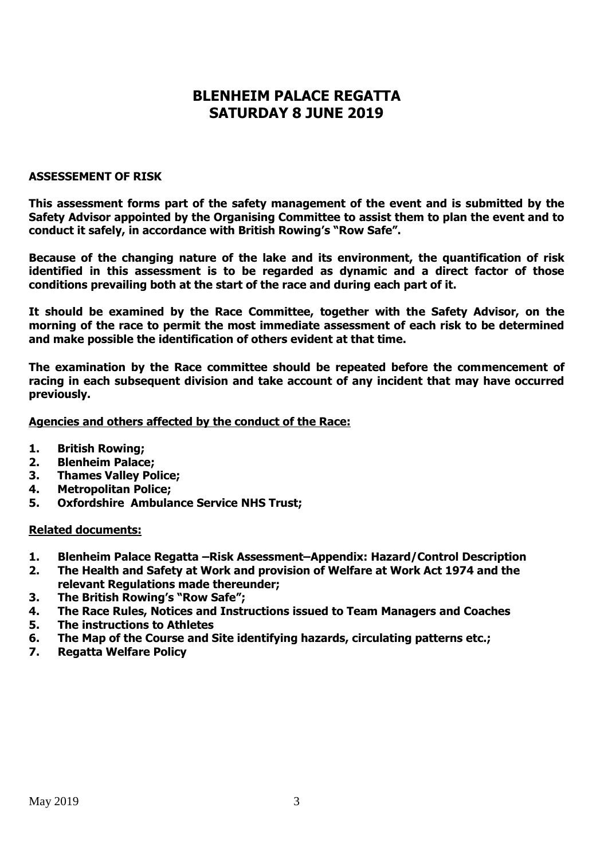# **BLENHEIM PALACE REGATTA SATURDAY 8 JUNE 2019**

#### **ASSESSEMENT OF RISK**

**This assessment forms part of the safety management of the event and is submitted by the Safety Advisor appointed by the Organising Committee to assist them to plan the event and to conduct it safely, in accordance with British Rowing's "Row Safe".**

**Because of the changing nature of the lake and its environment, the quantification of risk identified in this assessment is to be regarded as dynamic and a direct factor of those conditions prevailing both at the start of the race and during each part of it.**

**It should be examined by the Race Committee, together with the Safety Advisor, on the morning of the race to permit the most immediate assessment of each risk to be determined and make possible the identification of others evident at that time.**

**The examination by the Race committee should be repeated before the commencement of racing in each subsequent division and take account of any incident that may have occurred previously.** 

### **Agencies and others affected by the conduct of the Race:**

- **1. British Rowing;**
- **2. Blenheim Palace;**
- **3. Thames Valley Police;**
- **4. Metropolitan Police;**
- **5. Oxfordshire Ambulance Service NHS Trust;**

#### **Related documents:**

- **1. Blenheim Palace Regatta –Risk Assessment–Appendix: Hazard/Control Description**
- **2. The Health and Safety at Work and provision of Welfare at Work Act 1974 and the relevant Regulations made thereunder;**
- **3. The British Rowing's "Row Safe";**
- **4. The Race Rules, Notices and Instructions issued to Team Managers and Coaches**
- **5. The instructions to Athletes**
- **6. The Map of the Course and Site identifying hazards, circulating patterns etc.;**
- **7. Regatta Welfare Policy**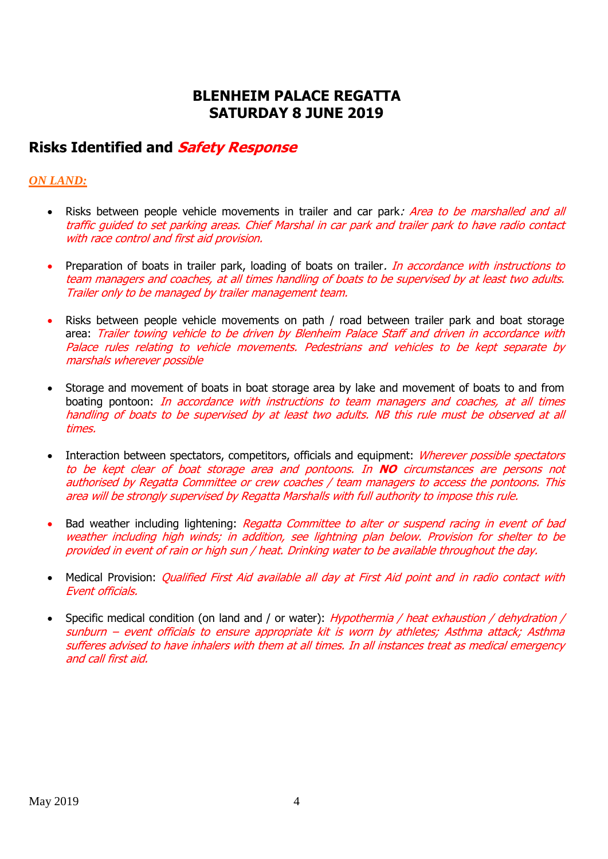# **BLENHEIM PALACE REGATTA SATURDAY 8 JUNE 2019**

# **Risks Identified and Safety Response**

## *ON LAND:*

- Risks between people vehicle movements in trailer and car park: *Area to be marshalled and all* traffic guided to set parking areas. Chief Marshal in car park and trailer park to have radio contact with race control and first aid provision.
- Preparation of boats in trailer park, loading of boats on trailer. In accordance with instructions to team managers and coaches, at all times handling of boats to be supervised by at least two adults. Trailer only to be managed by trailer management team.
- Risks between people vehicle movements on path / road between trailer park and boat storage area: Trailer towing vehicle to be driven by Blenheim Palace Staff and driven in accordance with Palace rules relating to vehicle movements. Pedestrians and vehicles to be kept separate by marshals wherever possible
- Storage and movement of boats in boat storage area by lake and movement of boats to and from boating pontoon: In accordance with instructions to team managers and coaches, at all times handling of boats to be supervised by at least two adults. NB this rule must be observed at all times.
- Interaction between spectators, competitors, officials and equipment: *Wherever possible spectators* to be kept clear of boat storage area and pontoons. In **NO** circumstances are persons not authorised by Regatta Committee or crew coaches / team managers to access the pontoons. This area will be strongly supervised by Regatta Marshalls with full authority to impose this rule.
- Bad weather including lightening: Regatta Committee to alter or suspend racing in event of bad weather including high winds; in addition, see lightning plan below. Provision for shelter to be provided in event of rain or high sun / heat. Drinking water to be available throughout the day.
- Medical Provision: *Qualified First Aid available all day at First Aid point and in radio contact with* Event officials.
- Specific medical condition (on land and / or water): *Hypothermia / heat exhaustion / dehydration /* sunburn – event officials to ensure appropriate kit is worn by athletes; Asthma attack; Asthma sufferes advised to have inhalers with them at all times. In all instances treat as medical emergency and call first aid.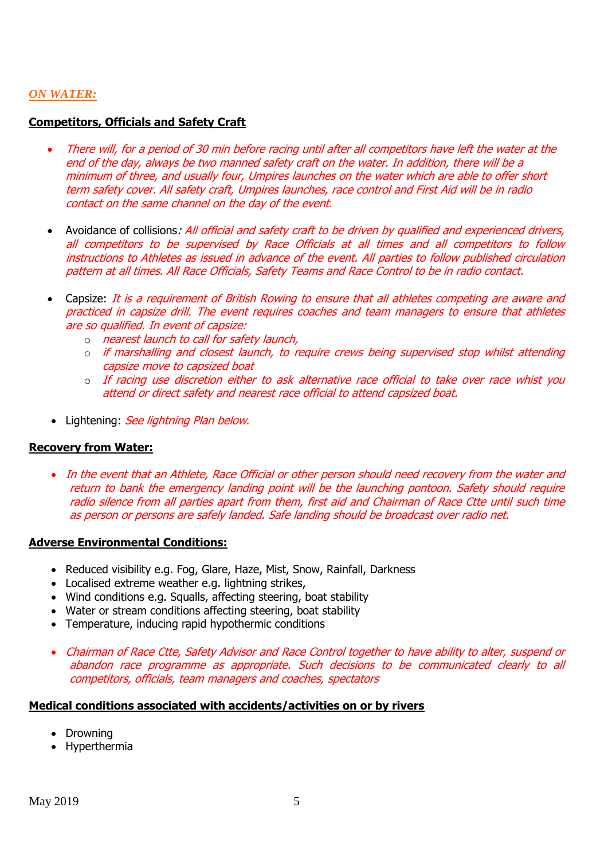### *ON WATER:*

### **Competitors, Officials and Safety Craft**

- There will, for a period of 30 min before racing until after all competitors have left the water at the end of the day, always be two manned safety craft on the water. In addition, there will be a minimum of three, and usually four, Umpires launches on the water which are able to offer short term safety cover. All safety craft, Umpires launches, race control and First Aid will be in radio contact on the same channel on the day of the event.
- Avoidance of collisions: All official and safety craft to be driven by qualified and experienced drivers, all competitors to be supervised by Race Officials at all times and all competitors to follow instructions to Athletes as issued in advance of the event. All parties to follow published circulation pattern at all times. All Race Officials, Safety Teams and Race Control to be in radio contact.
- Capsize: It is a requirement of British Rowing to ensure that all athletes competing are aware and practiced in capsize drill. The event requires coaches and team managers to ensure that athletes are so qualified. In event of capsize:
	- o nearest launch to call for safety launch,
	- o if marshalling and closest launch, to require crews being supervised stop whilst attending capsize move to capsized boat
	- o If racing use discretion either to ask alternative race official to take over race whist you attend or direct safety and nearest race official to attend capsized boat.
- Lightening: See lightning Plan below.

### **Recovery from Water:**

• In the event that an Athlete, Race Official or other person should need recovery from the water and return to bank the emergency landing point will be the launching pontoon. Safety should require radio silence from all parties apart from them, first aid and Chairman of Race Ctte until such time as person or persons are safely landed. Safe landing should be broadcast over radio net.

#### **Adverse Environmental Conditions:**

- Reduced visibility e.g. Fog, Glare, Haze, Mist, Snow, Rainfall, Darkness
- Localised extreme weather e.g. lightning strikes,
- Wind conditions e.g. Squalls, affecting steering, boat stability
- Water or stream conditions affecting steering, boat stability
- Temperature, inducing rapid hypothermic conditions
- Chairman of Race Ctte, Safety Advisor and Race Control together to have ability to alter, suspend or abandon race programme as appropriate. Such decisions to be communicated clearly to all competitors, officials, team managers and coaches, spectators

### **Medical conditions associated with accidents/activities on or by rivers**

- Drowning
- Hyperthermia